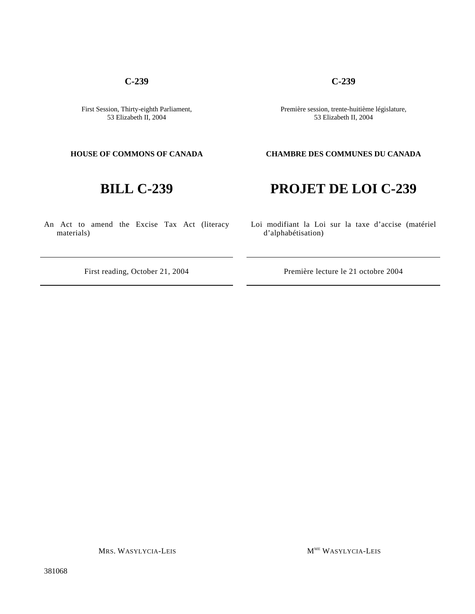## **C-239**

First Session, Thirty-eighth Parliament, 53 Elizabeth II, 2004

An Act to amend the Excise Tax Act (literacy materials)

Première session, trente-huitième législature, 53 Elizabeth II, 2004

**C-239**

## **HOUSE OF COMMONS OF CANADA CHAMBRE DES COMMUNES DU CANADA**

# **BILL C-239 PROJET DE LOI C-239**

Loi modifiant la Loi sur la taxe d'accise (matériel d'alphabétisation)

First reading, October 21, 2004 Première lecture le 21 octobre 2004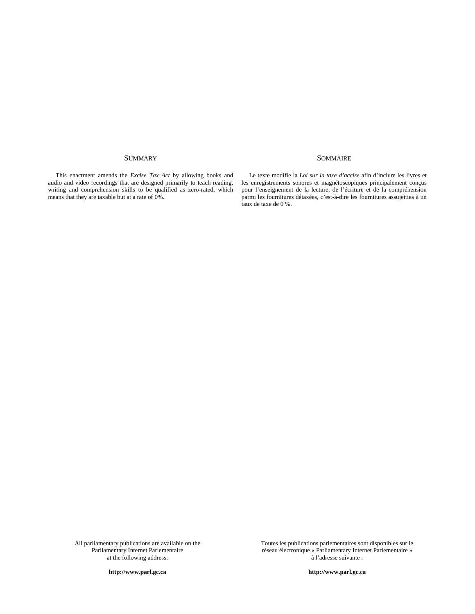### SUMMARY SOMMAIRE

This enactment amends the *Excise Tax Act* by allowing books and audio and video recordings that are designed primarily to teach reading, writing and comprehension skills to be qualified as zero-rated, which means that they are taxable but at a rate of 0%.

Le texte modifie la *Loi sur la taxe d'accise* afin d'inclure les livres et les enregistrements sonores et magnétoscopiques principalement conçus pour l'enseignement de la lecture, de l'écriture et de la compréhension parmi les fournitures détaxées, c'est-à-dire les fournitures assujetties à un taux de taxe de 0 %.

All parliamentary publications are available on the Parliamentary Internet Parlementaire at the following address:

Toutes les publications parlementaires sont disponibles sur le réseau électronique « Parliamentary Internet Parlementaire » à l'adresse suivante :

**http://www.parl.gc.ca**